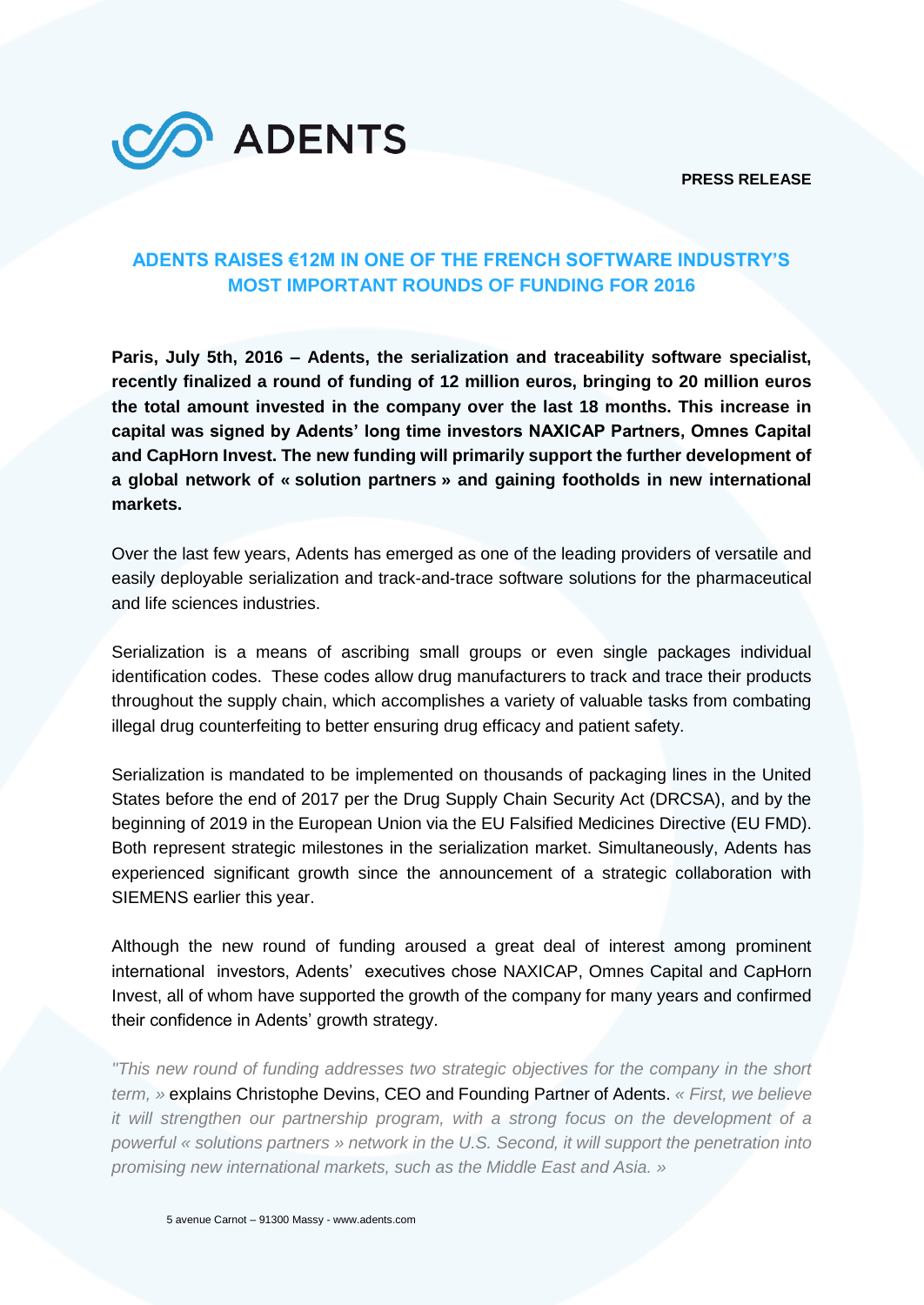**PRESS RELEASE**



# **ADENTS RAISES €12M IN ONE OF THE FRENCH SOFTWARE INDUSTRY'S MOST IMPORTANT ROUNDS OF FUNDING FOR 2016**

**Paris, July 5th, 2016 – Adents, the serialization and traceability software specialist, recently finalized a round of funding of 12 million euros, bringing to 20 million euros the total amount invested in the company over the last 18 months. This increase in capital was signed by Adents' long time investors NAXICAP Partners, Omnes Capital and CapHorn Invest. The new funding will primarily support the further development of a global network of « solution partners » and gaining footholds in new international markets.**

Over the last few years, Adents has emerged as one of the leading providers of versatile and easily deployable serialization and track-and-trace software solutions for the pharmaceutical and life sciences industries.

Serialization is a means of ascribing small groups or even single packages individual identification codes. These codes allow drug manufacturers to track and trace their products throughout the supply chain, which accomplishes a variety of valuable tasks from combating illegal drug counterfeiting to better ensuring drug efficacy and patient safety.

Serialization is mandated to be implemented on thousands of packaging lines in the United States before the end of 2017 per the Drug Supply Chain Security Act (DRCSA), and by the beginning of 2019 in the European Union via the EU Falsified Medicines Directive (EU FMD). Both represent strategic milestones in the serialization market. Simultaneously, Adents has experienced significant growth since the announcement of a strategic collaboration with SIEMENS earlier this year.

Although the new round of funding aroused a great deal of interest among prominent international investors, Adents' executives chose NAXICAP, Omnes Capital and CapHorn Invest, all of whom have supported the growth of the company for many years and confirmed their confidence in Adents' growth strategy.

*"This new round of funding addresses two strategic objectives for the company in the short term, »* explains Christophe Devins, CEO and Founding Partner of Adents. *« First, we believe it will strengthen our partnership program, with a strong focus on the development of a powerful « solutions partners » network in the U.S. Second, it will support the penetration into promising new international markets, such as the Middle East and Asia. »*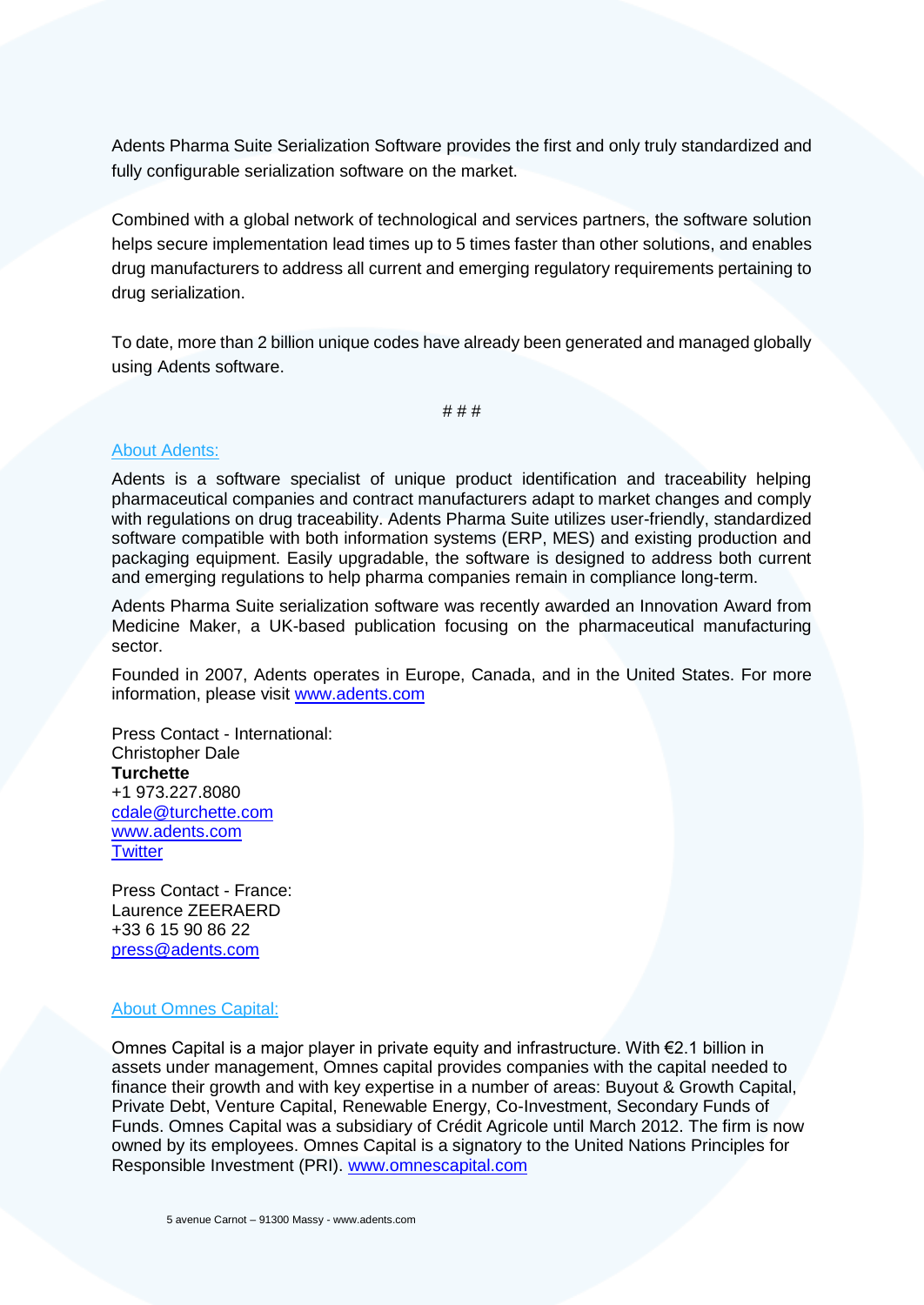Adents Pharma Suite Serialization Software provides the first and only truly standardized and fully configurable serialization software on the market.

Combined with a global network of technological and services partners, the software solution helps secure implementation lead times up to 5 times faster than other solutions, and enables drug manufacturers to address all current and emerging regulatory requirements pertaining to drug serialization.

To date, more than 2 billion unique codes have already been generated and managed globally using Adents software.

# # #

## About Adents:

Adents is a software specialist of unique product identification and traceability helping pharmaceutical companies and contract manufacturers adapt to market changes and comply with regulations on drug traceability. Adents Pharma Suite utilizes user-friendly, standardized software compatible with both information systems (ERP, MES) and existing production and packaging equipment. Easily upgradable, the software is designed to address both current and emerging regulations to help pharma companies remain in compliance long-term.

Adents Pharma Suite serialization software was recently awarded an Innovation Award from Medicine Maker, a UK-based publication focusing on the pharmaceutical manufacturing sector.

Founded in 2007, Adents operates in Europe, Canada, and in the United States. For more information, please visit [www.adents.com](http://www.adents.com/)

Press Contact - International: Christopher Dale **Turchette** +1 973.227.8080 [cdale@turchette.com](mailto:cdale@turchette.com) [www.adents.com](http://www.adents.com/) **[Twitter](https://twitter.com/adentsinfo)** 

Press Contact - France: Laurence ZEERAERD +33 6 15 90 86 22 [press@adents.com](mailto:press@adents.com)

#### About Omnes Capital:

Omnes Capital is a major player in private equity and infrastructure. With  $\epsilon$ 2.1 billion in assets under management, Omnes capital provides companies with the capital needed to finance their growth and with key expertise in a number of areas: Buyout & Growth Capital, Private Debt, Venture Capital, Renewable Energy, Co-Investment, Secondary Funds of Funds. Omnes Capital was a subsidiary of Crédit Agricole until March 2012. The firm is now owned by its employees. Omnes Capital is a signatory to the United Nations Principles for Responsible Investment (PRI). [www.omnescapital.com](http://www.omnescapital.com/)